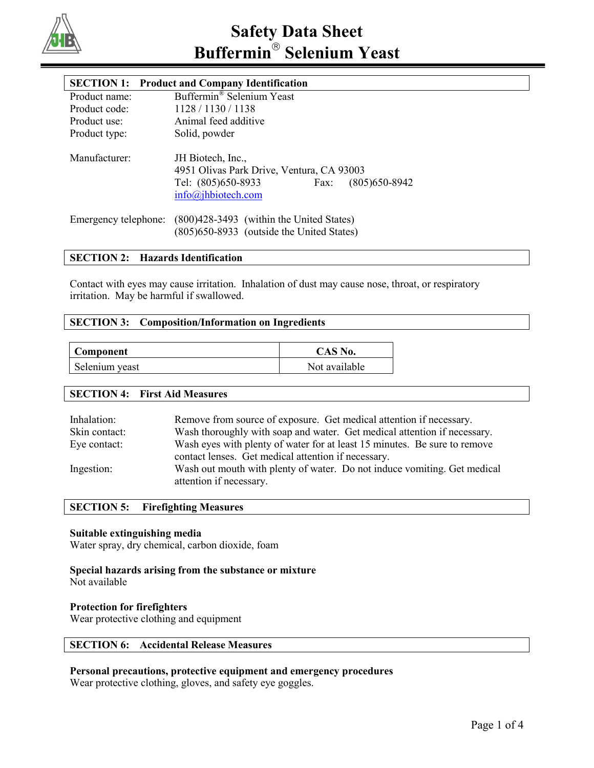

# **SECTION 1: Product and Company Identification**

| Product name: | Buffermin <sup>®</sup> Selenium Yeast                                |  |
|---------------|----------------------------------------------------------------------|--|
| Product code: | 1128/1130/1138                                                       |  |
| Product use:  | Animal feed additive                                                 |  |
| Product type: | Solid, powder                                                        |  |
| Manufacturer: | JH Biotech, Inc.,<br>4951 Olivas Park Drive, Ventura, CA 93003       |  |
|               | Tel: (805)650-8933<br>$(805)$ 650-8942<br>Fax:<br>info@jhbiotech.com |  |
|               | Emergency telephone: (800)428-3493 (within the United States)        |  |
|               | (805) 650-8933 (outside the United States)                           |  |

# **SECTION 2: Hazards Identification**

Contact with eyes may cause irritation. Inhalation of dust may cause nose, throat, or respiratory irritation. May be harmful if swallowed.

## **SECTION 3: Composition/Information on Ingredients**

| <b>Component</b> | CAS No.       |
|------------------|---------------|
| Selenium yeast   | Not available |

#### **SECTION 4: First Aid Measures**

| Inhalation:   | Remove from source of exposure. Get medical attention if necessary.                                 |
|---------------|-----------------------------------------------------------------------------------------------------|
| Skin contact: | Wash thoroughly with soap and water. Get medical attention if necessary.                            |
| Eye contact:  | Wash eyes with plenty of water for at least 15 minutes. Be sure to remove                           |
|               | contact lenses. Get medical attention if necessary.                                                 |
| Ingestion:    | Wash out mouth with plenty of water. Do not induce vomiting. Get medical<br>attention if necessary. |

## **SECTION 5: Firefighting Measures**

## **Suitable extinguishing media**

Water spray, dry chemical, carbon dioxide, foam

# **Special hazards arising from the substance or mixture**

Not available

#### **Protection for firefighters**

Wear protective clothing and equipment

## **SECTION 6: Accidental Release Measures**

#### **Personal precautions, protective equipment and emergency procedures**

Wear protective clothing, gloves, and safety eye goggles.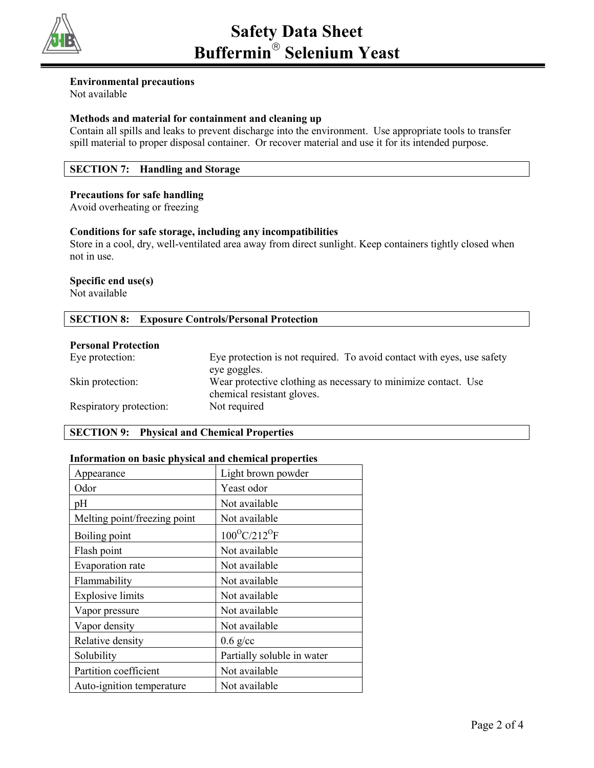

# **Environmental precautions**

Not available

# **Methods and material for containment and cleaning up**

Contain all spills and leaks to prevent discharge into the environment. Use appropriate tools to transfer spill material to proper disposal container. Or recover material and use it for its intended purpose.

# **SECTION 7: Handling and Storage**

# **Precautions for safe handling**

Avoid overheating or freezing

## **Conditions for safe storage, including any incompatibilities**

Store in a cool, dry, well-ventilated area away from direct sunlight. Keep containers tightly closed when not in use.

# **Specific end use(s)**

Not available

# **SECTION 8: Exposure Controls/Personal Protection**

## **Personal Protection**

| Eye protection:         | Eye protection is not required. To avoid contact with eyes, use safety |
|-------------------------|------------------------------------------------------------------------|
|                         | eye goggles.                                                           |
| Skin protection:        | Wear protective clothing as necessary to minimize contact. Use         |
|                         | chemical resistant gloves.                                             |
| Respiratory protection: | Not required                                                           |

# **SECTION 9: Physical and Chemical Properties**

## **Information on basic physical and chemical properties**

| Appearance                   | Light brown powder                 |
|------------------------------|------------------------------------|
| Odor                         | Yeast odor                         |
| pH                           | Not available                      |
| Melting point/freezing point | Not available                      |
| Boiling point                | $100^{\circ}$ C/212 <sup>o</sup> F |
| Flash point                  | Not available                      |
| Evaporation rate             | Not available                      |
| Flammability                 | Not available                      |
| <b>Explosive limits</b>      | Not available                      |
| Vapor pressure               | Not available                      |
| Vapor density                | Not available                      |
| Relative density             | $0.6$ g/cc                         |
| Solubility                   | Partially soluble in water         |
| Partition coefficient        | Not available                      |
| Auto-ignition temperature    | Not available                      |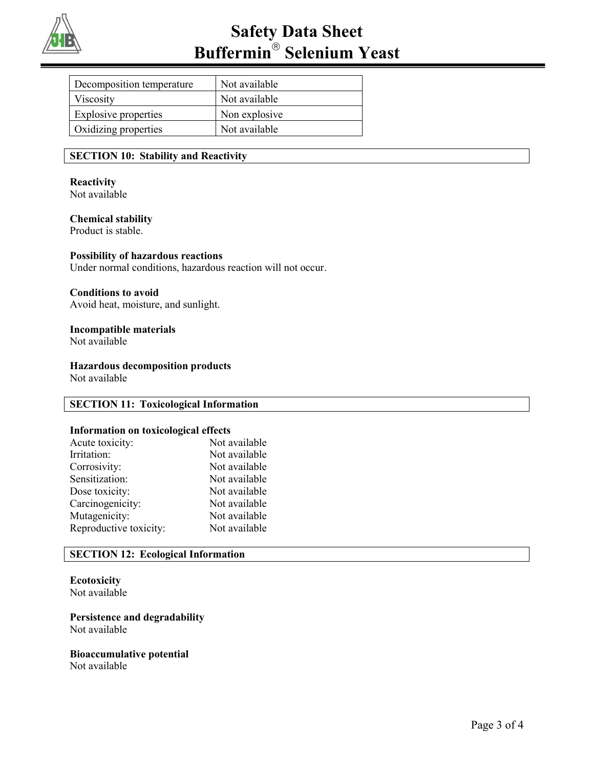

| Decomposition temperature   | Not available |
|-----------------------------|---------------|
| Viscosity                   | Not available |
| <b>Explosive properties</b> | Non explosive |
| Oxidizing properties        | Not available |

#### **SECTION 10: Stability and Reactivity**

#### **Reactivity** Not available

#### **Chemical stability** Product is stable.

## **Possibility of hazardous reactions**

Under normal conditions, hazardous reaction will not occur.

#### **Conditions to avoid**

Avoid heat, moisture, and sunlight.

# **Incompatible materials**

Not available

## **Hazardous decomposition products**

Not available

## **SECTION 11: Toxicological Information**

#### **Information on toxicological effects**

| Acute toxicity:        | Not available |
|------------------------|---------------|
| Irritation:            | Not available |
| Corrosivity:           | Not available |
| Sensitization:         | Not available |
| Dose toxicity:         | Not available |
| Carcinogenicity:       | Not available |
| Mutagenicity:          | Not available |
| Reproductive toxicity: | Not available |
|                        |               |

# **SECTION 12: Ecological Information**

# **Ecotoxicity**

Not available

**Persistence and degradability** Not available

# **Bioaccumulative potential**

Not available